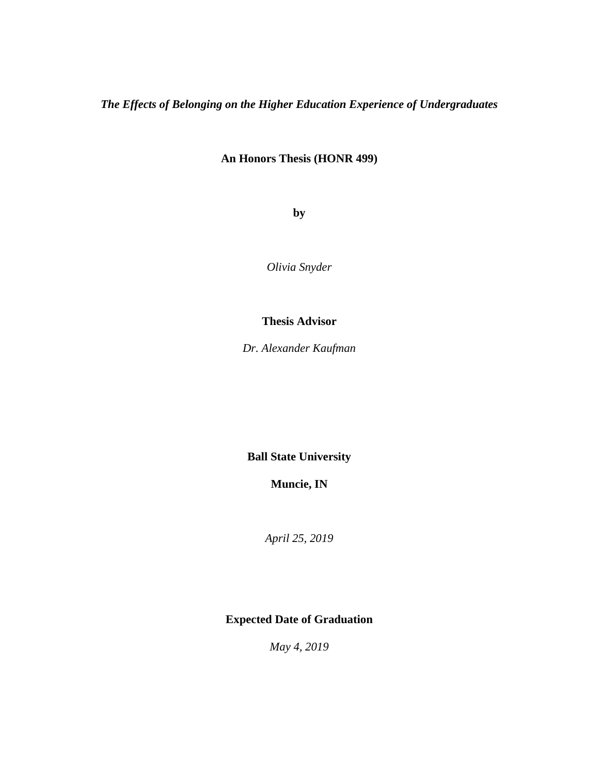*The Effects of Belonging on the Higher Education Experience of Undergraduates* 

# **An Honors Thesis (HONR 499)**

**by** 

*Olivia Snyder* 

# **Thesis Advisor**

*Dr. Alexander Kaufman* 

**Ball State University** 

**Muncie, IN** 

*April 25, 2019* 

# **Expected Date of Graduation**

*May 4, 2019*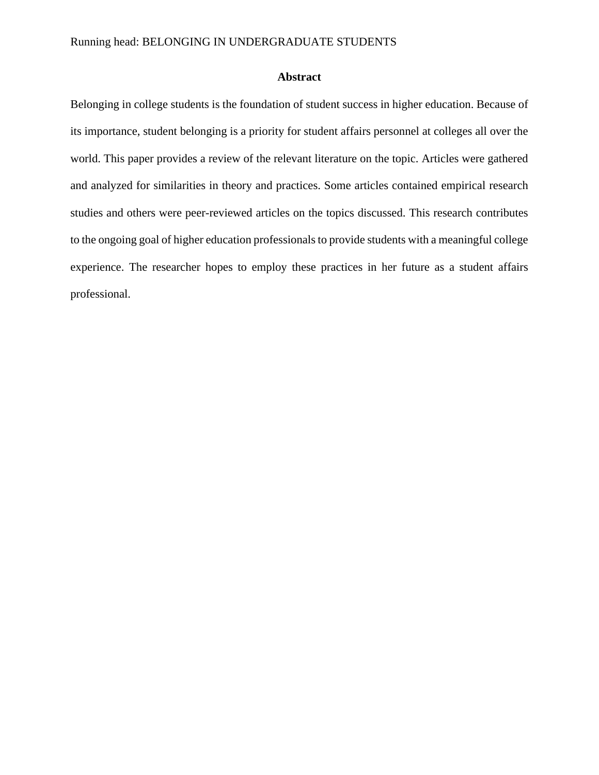## **Abstract**

Belonging in college students is the foundation of student success in higher education. Because of its importance, student belonging is a priority for student affairs personnel at colleges all over the world. This paper provides a review of the relevant literature on the topic. Articles were gathered and analyzed for similarities in theory and practices. Some articles contained empirical research studies and others were peer-reviewed articles on the topics discussed. This research contributes to the ongoing goal of higher education professionals to provide students with a meaningful college experience. The researcher hopes to employ these practices in her future as a student affairs professional.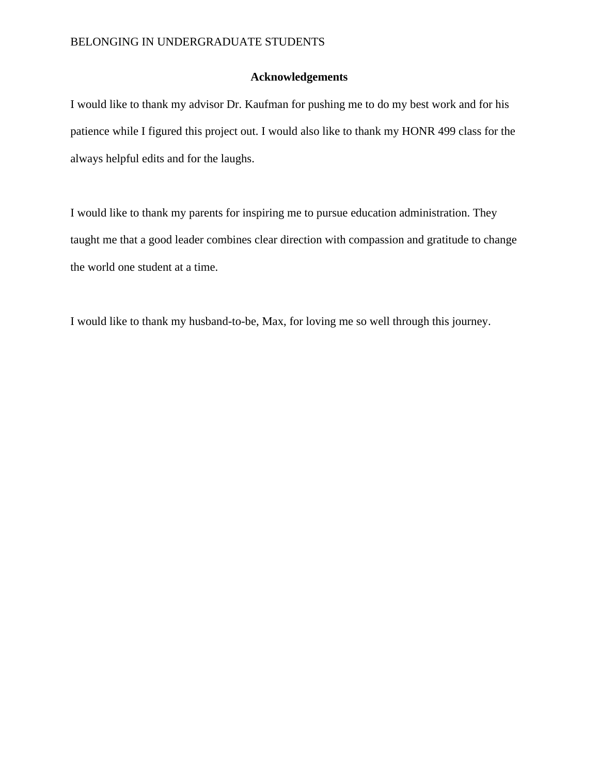# **Acknowledgements**

I would like to thank my advisor Dr. Kaufman for pushing me to do my best work and for his patience while I figured this project out. I would also like to thank my HONR 499 class for the always helpful edits and for the laughs.

I would like to thank my parents for inspiring me to pursue education administration. They taught me that a good leader combines clear direction with compassion and gratitude to change the world one student at a time.

I would like to thank my husband-to-be, Max, for loving me so well through this journey.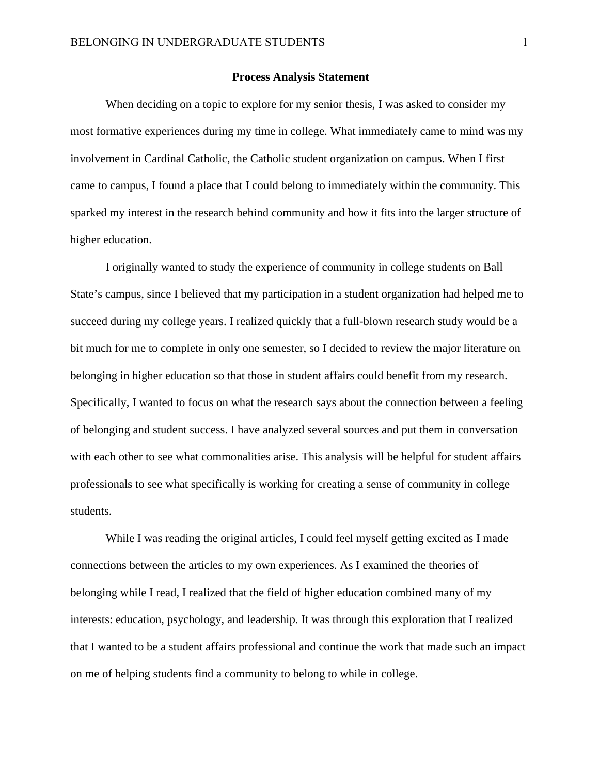#### **Process Analysis Statement**

When deciding on a topic to explore for my senior thesis, I was asked to consider my most formative experiences during my time in college. What immediately came to mind was my involvement in Cardinal Catholic, the Catholic student organization on campus. When I first came to campus, I found a place that I could belong to immediately within the community. This sparked my interest in the research behind community and how it fits into the larger structure of higher education.

I originally wanted to study the experience of community in college students on Ball State's campus, since I believed that my participation in a student organization had helped me to succeed during my college years. I realized quickly that a full-blown research study would be a bit much for me to complete in only one semester, so I decided to review the major literature on belonging in higher education so that those in student affairs could benefit from my research. Specifically, I wanted to focus on what the research says about the connection between a feeling of belonging and student success. I have analyzed several sources and put them in conversation with each other to see what commonalities arise. This analysis will be helpful for student affairs professionals to see what specifically is working for creating a sense of community in college students.

While I was reading the original articles, I could feel myself getting excited as I made connections between the articles to my own experiences. As I examined the theories of belonging while I read, I realized that the field of higher education combined many of my interests: education, psychology, and leadership. It was through this exploration that I realized that I wanted to be a student affairs professional and continue the work that made such an impact on me of helping students find a community to belong to while in college.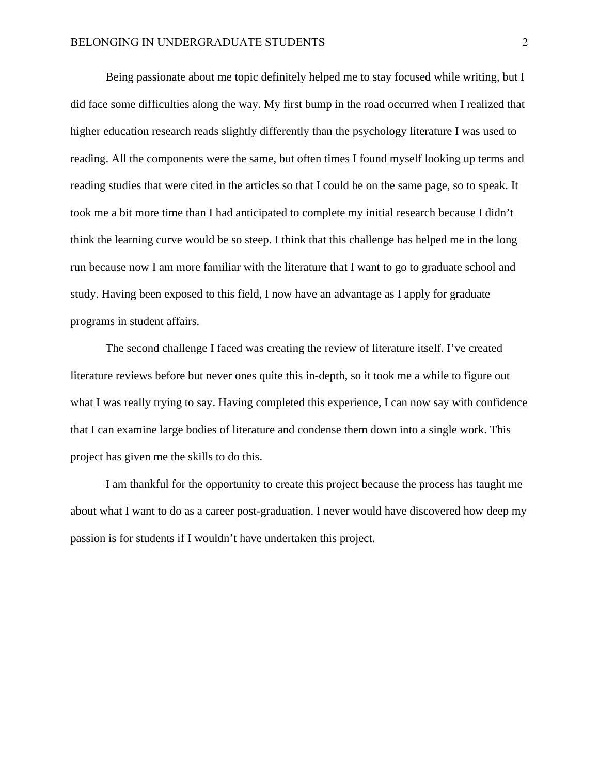Being passionate about me topic definitely helped me to stay focused while writing, but I did face some difficulties along the way. My first bump in the road occurred when I realized that higher education research reads slightly differently than the psychology literature I was used to reading. All the components were the same, but often times I found myself looking up terms and reading studies that were cited in the articles so that I could be on the same page, so to speak. It took me a bit more time than I had anticipated to complete my initial research because I didn't think the learning curve would be so steep. I think that this challenge has helped me in the long run because now I am more familiar with the literature that I want to go to graduate school and study. Having been exposed to this field, I now have an advantage as I apply for graduate programs in student affairs.

The second challenge I faced was creating the review of literature itself. I've created literature reviews before but never ones quite this in-depth, so it took me a while to figure out what I was really trying to say. Having completed this experience, I can now say with confidence that I can examine large bodies of literature and condense them down into a single work. This project has given me the skills to do this.

I am thankful for the opportunity to create this project because the process has taught me about what I want to do as a career post-graduation. I never would have discovered how deep my passion is for students if I wouldn't have undertaken this project.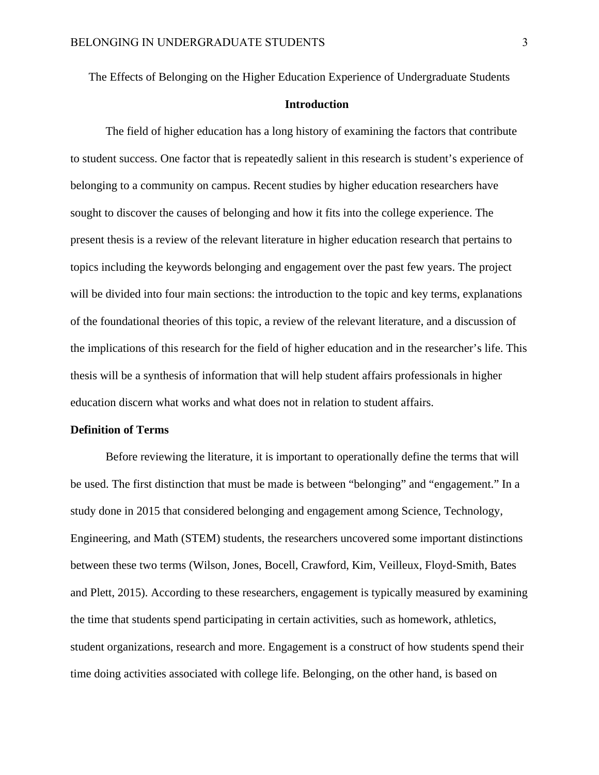The Effects of Belonging on the Higher Education Experience of Undergraduate Students

## **Introduction**

The field of higher education has a long history of examining the factors that contribute to student success. One factor that is repeatedly salient in this research is student's experience of belonging to a community on campus. Recent studies by higher education researchers have sought to discover the causes of belonging and how it fits into the college experience. The present thesis is a review of the relevant literature in higher education research that pertains to topics including the keywords belonging and engagement over the past few years. The project will be divided into four main sections: the introduction to the topic and key terms, explanations of the foundational theories of this topic, a review of the relevant literature, and a discussion of the implications of this research for the field of higher education and in the researcher's life. This thesis will be a synthesis of information that will help student affairs professionals in higher education discern what works and what does not in relation to student affairs.

#### **Definition of Terms**

Before reviewing the literature, it is important to operationally define the terms that will be used. The first distinction that must be made is between "belonging" and "engagement." In a study done in 2015 that considered belonging and engagement among Science, Technology, Engineering, and Math (STEM) students, the researchers uncovered some important distinctions between these two terms (Wilson, Jones, Bocell, Crawford, Kim, Veilleux, Floyd-Smith, Bates and Plett, 2015). According to these researchers, engagement is typically measured by examining the time that students spend participating in certain activities, such as homework, athletics, student organizations, research and more. Engagement is a construct of how students spend their time doing activities associated with college life. Belonging, on the other hand, is based on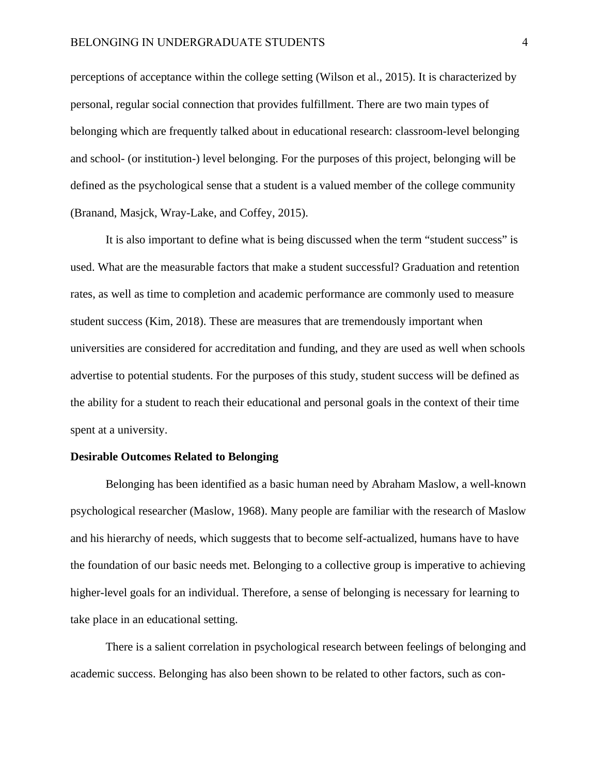perceptions of acceptance within the college setting (Wilson et al., 2015). It is characterized by personal, regular social connection that provides fulfillment. There are two main types of belonging which are frequently talked about in educational research: classroom-level belonging and school- (or institution-) level belonging. For the purposes of this project, belonging will be defined as the psychological sense that a student is a valued member of the college community (Branand, Masjck, Wray-Lake, and Coffey, 2015).

It is also important to define what is being discussed when the term "student success" is used. What are the measurable factors that make a student successful? Graduation and retention rates, as well as time to completion and academic performance are commonly used to measure student success (Kim, 2018). These are measures that are tremendously important when universities are considered for accreditation and funding, and they are used as well when schools advertise to potential students. For the purposes of this study, student success will be defined as the ability for a student to reach their educational and personal goals in the context of their time spent at a university.

## **Desirable Outcomes Related to Belonging**

Belonging has been identified as a basic human need by Abraham Maslow, a well-known psychological researcher (Maslow, 1968). Many people are familiar with the research of Maslow and his hierarchy of needs, which suggests that to become self-actualized, humans have to have the foundation of our basic needs met. Belonging to a collective group is imperative to achieving higher-level goals for an individual. Therefore, a sense of belonging is necessary for learning to take place in an educational setting.

There is a salient correlation in psychological research between feelings of belonging and academic success. Belonging has also been shown to be related to other factors, such as con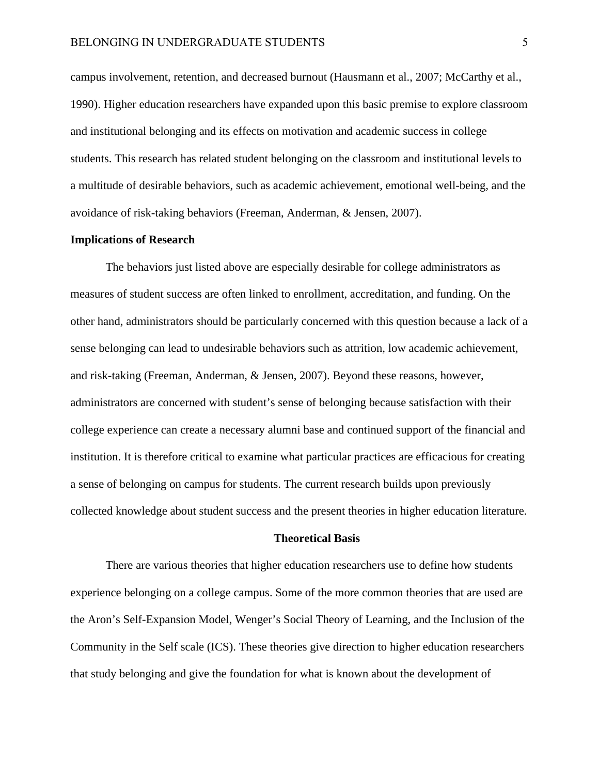campus involvement, retention, and decreased burnout (Hausmann et al., 2007; McCarthy et al., 1990). Higher education researchers have expanded upon this basic premise to explore classroom and institutional belonging and its effects on motivation and academic success in college students. This research has related student belonging on the classroom and institutional levels to a multitude of desirable behaviors, such as academic achievement, emotional well-being, and the avoidance of risk-taking behaviors (Freeman, Anderman, & Jensen, 2007).

#### **Implications of Research**

The behaviors just listed above are especially desirable for college administrators as measures of student success are often linked to enrollment, accreditation, and funding. On the other hand, administrators should be particularly concerned with this question because a lack of a sense belonging can lead to undesirable behaviors such as attrition, low academic achievement, and risk-taking (Freeman, Anderman, & Jensen, 2007). Beyond these reasons, however, administrators are concerned with student's sense of belonging because satisfaction with their college experience can create a necessary alumni base and continued support of the financial and institution. It is therefore critical to examine what particular practices are efficacious for creating a sense of belonging on campus for students. The current research builds upon previously collected knowledge about student success and the present theories in higher education literature.

# **Theoretical Basis**

There are various theories that higher education researchers use to define how students experience belonging on a college campus. Some of the more common theories that are used are the Aron's Self-Expansion Model, Wenger's Social Theory of Learning, and the Inclusion of the Community in the Self scale (ICS). These theories give direction to higher education researchers that study belonging and give the foundation for what is known about the development of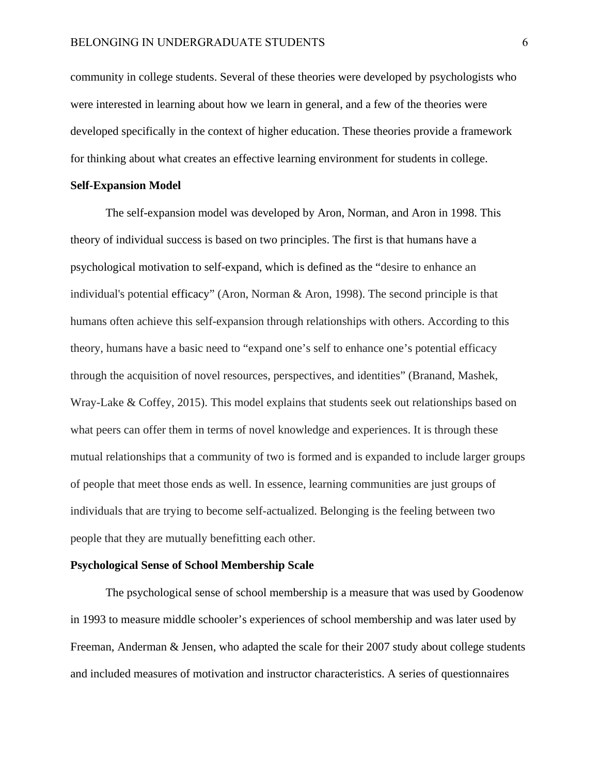community in college students. Several of these theories were developed by psychologists who were interested in learning about how we learn in general, and a few of the theories were developed specifically in the context of higher education. These theories provide a framework for thinking about what creates an effective learning environment for students in college.

### **Self-Expansion Model**

The self-expansion model was developed by Aron, Norman, and Aron in 1998. This theory of individual success is based on two principles. The first is that humans have a psychological motivation to self-expand, which is defined as the "desire to enhance an individual's potential efficacy" (Aron, Norman & Aron, 1998). The second principle is that humans often achieve this self-expansion through relationships with others. According to this theory, humans have a basic need to "expand one's self to enhance one's potential efficacy through the acquisition of novel resources, perspectives, and identities" (Branand, Mashek, Wray-Lake & Coffey, 2015). This model explains that students seek out relationships based on what peers can offer them in terms of novel knowledge and experiences. It is through these mutual relationships that a community of two is formed and is expanded to include larger groups of people that meet those ends as well. In essence, learning communities are just groups of individuals that are trying to become self-actualized. Belonging is the feeling between two people that they are mutually benefitting each other.

# **Psychological Sense of School Membership Scale**

The psychological sense of school membership is a measure that was used by Goodenow in 1993 to measure middle schooler's experiences of school membership and was later used by Freeman, Anderman & Jensen, who adapted the scale for their 2007 study about college students and included measures of motivation and instructor characteristics. A series of questionnaires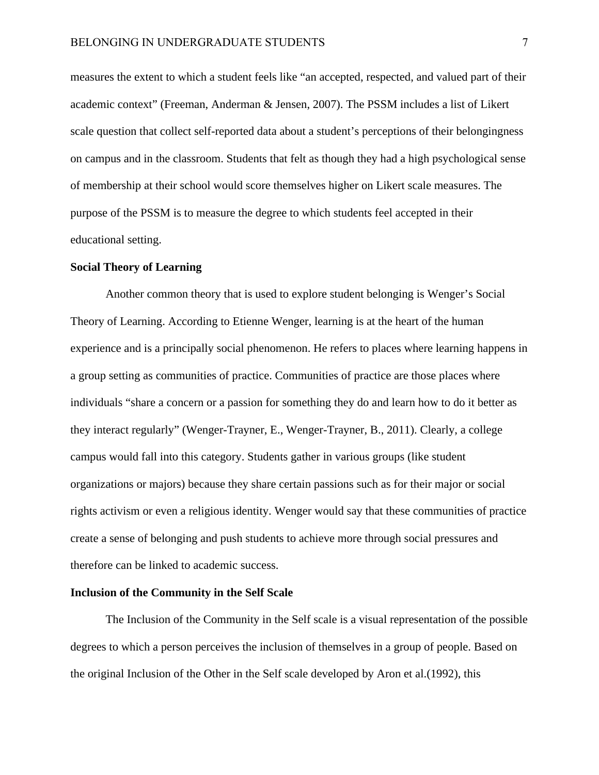measures the extent to which a student feels like "an accepted, respected, and valued part of their academic context" (Freeman, Anderman & Jensen, 2007). The PSSM includes a list of Likert scale question that collect self-reported data about a student's perceptions of their belongingness on campus and in the classroom. Students that felt as though they had a high psychological sense of membership at their school would score themselves higher on Likert scale measures. The purpose of the PSSM is to measure the degree to which students feel accepted in their educational setting.

#### **Social Theory of Learning**

Another common theory that is used to explore student belonging is Wenger's Social Theory of Learning. According to Etienne Wenger, learning is at the heart of the human experience and is a principally social phenomenon. He refers to places where learning happens in a group setting as communities of practice. Communities of practice are those places where individuals "share a concern or a passion for something they do and learn how to do it better as they interact regularly" (Wenger-Trayner, E., Wenger-Trayner, B., 2011). Clearly, a college campus would fall into this category. Students gather in various groups (like student organizations or majors) because they share certain passions such as for their major or social rights activism or even a religious identity. Wenger would say that these communities of practice create a sense of belonging and push students to achieve more through social pressures and therefore can be linked to academic success.

## **Inclusion of the Community in the Self Scale**

The Inclusion of the Community in the Self scale is a visual representation of the possible degrees to which a person perceives the inclusion of themselves in a group of people. Based on the original Inclusion of the Other in the Self scale developed by Aron et al.(1992), this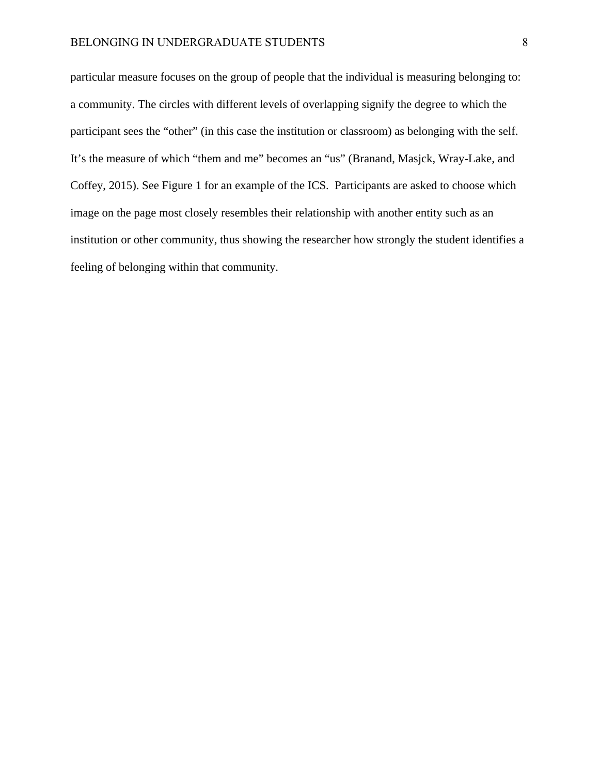particular measure focuses on the group of people that the individual is measuring belonging to: a community. The circles with different levels of overlapping signify the degree to which the participant sees the "other" (in this case the institution or classroom) as belonging with the self. It's the measure of which "them and me" becomes an "us" (Branand, Masjck, Wray-Lake, and Coffey, 2015). See Figure 1 for an example of the ICS. Participants are asked to choose which image on the page most closely resembles their relationship with another entity such as an institution or other community, thus showing the researcher how strongly the student identifies a feeling of belonging within that community.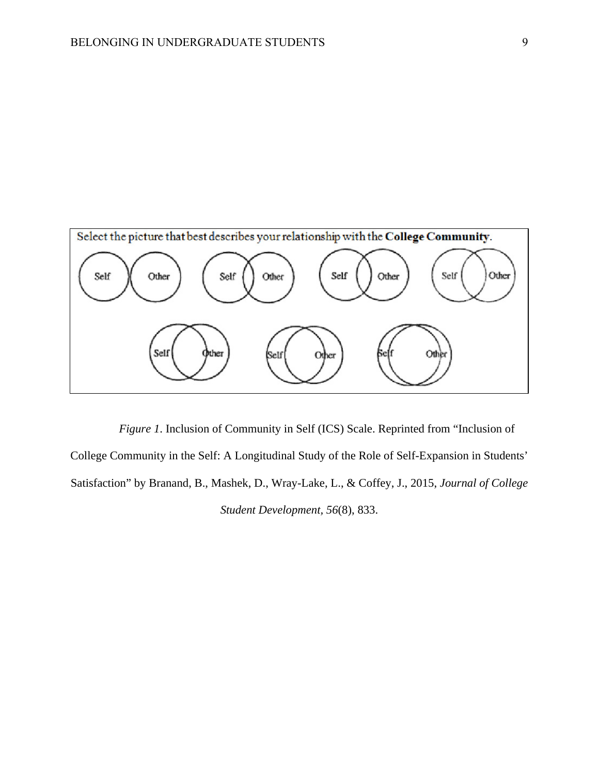

*Figure 1*. Inclusion of Community in Self (ICS) Scale. Reprinted from "Inclusion of College Community in the Self: A Longitudinal Study of the Role of Self-Expansion in Students' Satisfaction" by Branand, B., Mashek, D., Wray-Lake, L., & Coffey, J., 2015, *Journal of College Student Development, 56*(8), 833.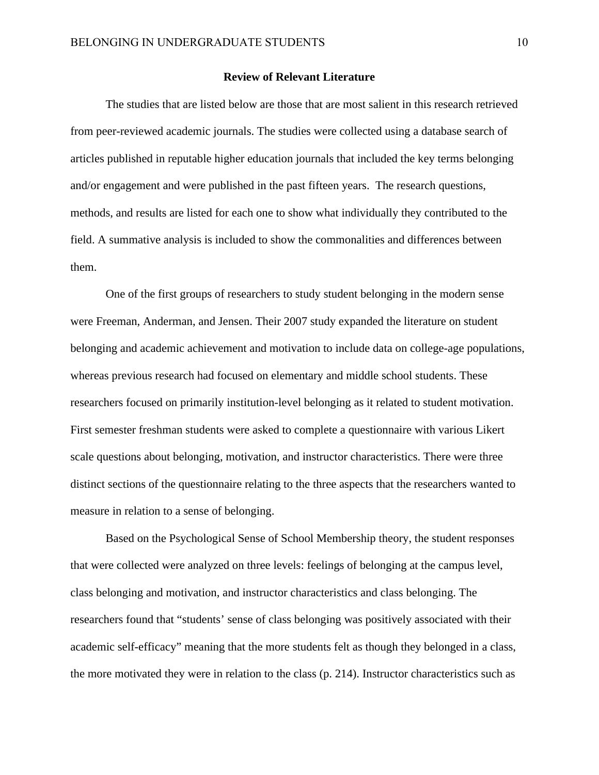## **Review of Relevant Literature**

The studies that are listed below are those that are most salient in this research retrieved from peer-reviewed academic journals. The studies were collected using a database search of articles published in reputable higher education journals that included the key terms belonging and/or engagement and were published in the past fifteen years. The research questions, methods, and results are listed for each one to show what individually they contributed to the field. A summative analysis is included to show the commonalities and differences between them.

One of the first groups of researchers to study student belonging in the modern sense were Freeman, Anderman, and Jensen. Their 2007 study expanded the literature on student belonging and academic achievement and motivation to include data on college-age populations, whereas previous research had focused on elementary and middle school students. These researchers focused on primarily institution-level belonging as it related to student motivation. First semester freshman students were asked to complete a questionnaire with various Likert scale questions about belonging, motivation, and instructor characteristics. There were three distinct sections of the questionnaire relating to the three aspects that the researchers wanted to measure in relation to a sense of belonging.

Based on the Psychological Sense of School Membership theory, the student responses that were collected were analyzed on three levels: feelings of belonging at the campus level, class belonging and motivation, and instructor characteristics and class belonging. The researchers found that "students' sense of class belonging was positively associated with their academic self-efficacy" meaning that the more students felt as though they belonged in a class, the more motivated they were in relation to the class (p. 214). Instructor characteristics such as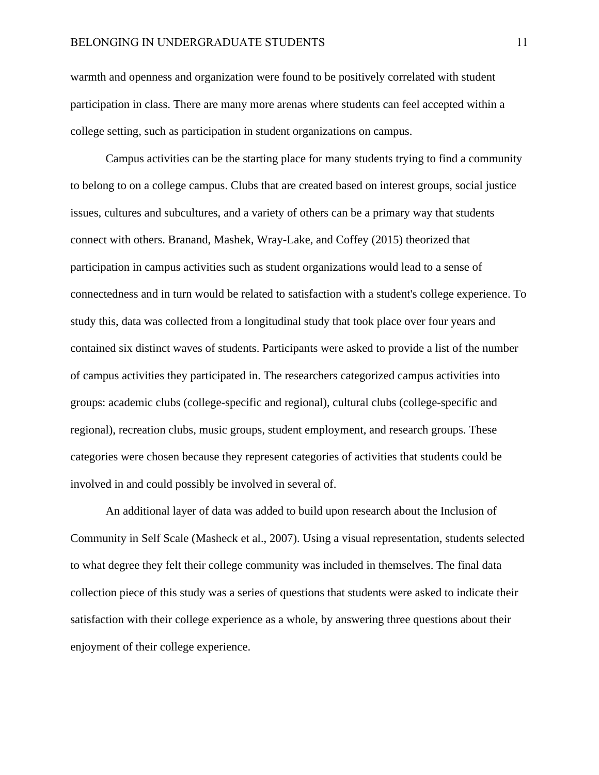warmth and openness and organization were found to be positively correlated with student participation in class. There are many more arenas where students can feel accepted within a college setting, such as participation in student organizations on campus.

Campus activities can be the starting place for many students trying to find a community to belong to on a college campus. Clubs that are created based on interest groups, social justice issues, cultures and subcultures, and a variety of others can be a primary way that students connect with others. Branand, Mashek, Wray-Lake, and Coffey (2015) theorized that participation in campus activities such as student organizations would lead to a sense of connectedness and in turn would be related to satisfaction with a student's college experience. To study this, data was collected from a longitudinal study that took place over four years and contained six distinct waves of students. Participants were asked to provide a list of the number of campus activities they participated in. The researchers categorized campus activities into groups: academic clubs (college-specific and regional), cultural clubs (college-specific and regional), recreation clubs, music groups, student employment, and research groups. These categories were chosen because they represent categories of activities that students could be involved in and could possibly be involved in several of.

An additional layer of data was added to build upon research about the Inclusion of Community in Self Scale (Masheck et al., 2007). Using a visual representation, students selected to what degree they felt their college community was included in themselves. The final data collection piece of this study was a series of questions that students were asked to indicate their satisfaction with their college experience as a whole, by answering three questions about their enjoyment of their college experience.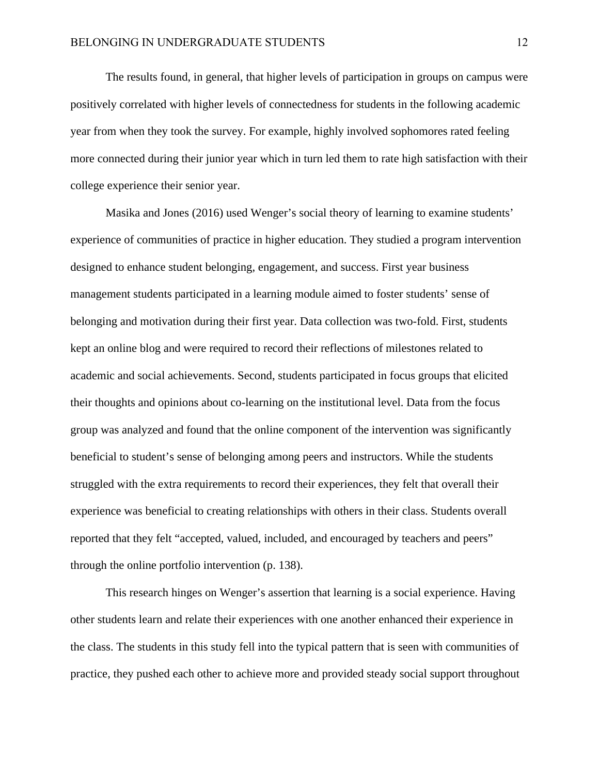The results found, in general, that higher levels of participation in groups on campus were positively correlated with higher levels of connectedness for students in the following academic year from when they took the survey. For example, highly involved sophomores rated feeling more connected during their junior year which in turn led them to rate high satisfaction with their college experience their senior year.

Masika and Jones (2016) used Wenger's social theory of learning to examine students' experience of communities of practice in higher education. They studied a program intervention designed to enhance student belonging, engagement, and success. First year business management students participated in a learning module aimed to foster students' sense of belonging and motivation during their first year. Data collection was two-fold. First, students kept an online blog and were required to record their reflections of milestones related to academic and social achievements. Second, students participated in focus groups that elicited their thoughts and opinions about co-learning on the institutional level. Data from the focus group was analyzed and found that the online component of the intervention was significantly beneficial to student's sense of belonging among peers and instructors. While the students struggled with the extra requirements to record their experiences, they felt that overall their experience was beneficial to creating relationships with others in their class. Students overall reported that they felt "accepted, valued, included, and encouraged by teachers and peers" through the online portfolio intervention (p. 138).

This research hinges on Wenger's assertion that learning is a social experience. Having other students learn and relate their experiences with one another enhanced their experience in the class. The students in this study fell into the typical pattern that is seen with communities of practice, they pushed each other to achieve more and provided steady social support throughout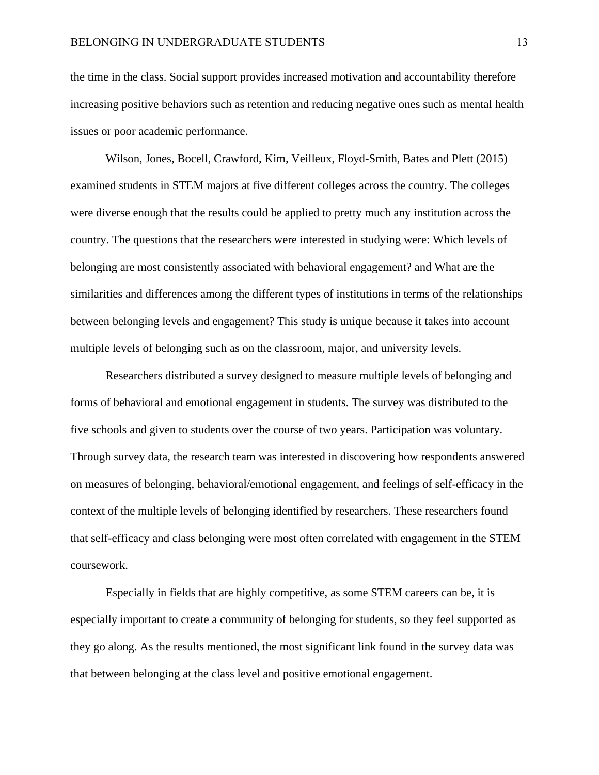the time in the class. Social support provides increased motivation and accountability therefore increasing positive behaviors such as retention and reducing negative ones such as mental health issues or poor academic performance.

Wilson, Jones, Bocell, Crawford, Kim, Veilleux, Floyd-Smith, Bates and Plett (2015) examined students in STEM majors at five different colleges across the country. The colleges were diverse enough that the results could be applied to pretty much any institution across the country. The questions that the researchers were interested in studying were: Which levels of belonging are most consistently associated with behavioral engagement? and What are the similarities and differences among the different types of institutions in terms of the relationships between belonging levels and engagement? This study is unique because it takes into account multiple levels of belonging such as on the classroom, major, and university levels.

Researchers distributed a survey designed to measure multiple levels of belonging and forms of behavioral and emotional engagement in students. The survey was distributed to the five schools and given to students over the course of two years. Participation was voluntary. Through survey data, the research team was interested in discovering how respondents answered on measures of belonging, behavioral/emotional engagement, and feelings of self-efficacy in the context of the multiple levels of belonging identified by researchers. These researchers found that self-efficacy and class belonging were most often correlated with engagement in the STEM coursework.

Especially in fields that are highly competitive, as some STEM careers can be, it is especially important to create a community of belonging for students, so they feel supported as they go along. As the results mentioned, the most significant link found in the survey data was that between belonging at the class level and positive emotional engagement.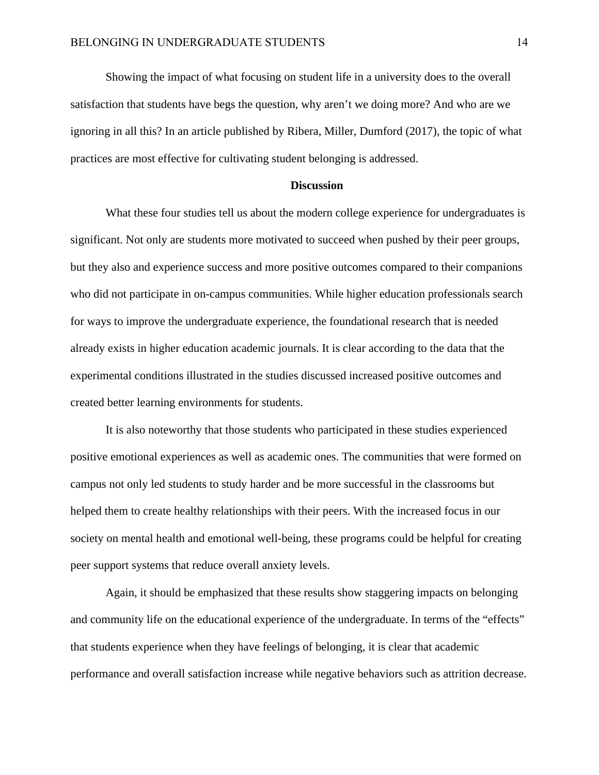Showing the impact of what focusing on student life in a university does to the overall satisfaction that students have begs the question, why aren't we doing more? And who are we ignoring in all this? In an article published by Ribera, Miller, Dumford (2017), the topic of what practices are most effective for cultivating student belonging is addressed.

### **Discussion**

What these four studies tell us about the modern college experience for undergraduates is significant. Not only are students more motivated to succeed when pushed by their peer groups, but they also and experience success and more positive outcomes compared to their companions who did not participate in on-campus communities. While higher education professionals search for ways to improve the undergraduate experience, the foundational research that is needed already exists in higher education academic journals. It is clear according to the data that the experimental conditions illustrated in the studies discussed increased positive outcomes and created better learning environments for students.

It is also noteworthy that those students who participated in these studies experienced positive emotional experiences as well as academic ones. The communities that were formed on campus not only led students to study harder and be more successful in the classrooms but helped them to create healthy relationships with their peers. With the increased focus in our society on mental health and emotional well-being, these programs could be helpful for creating peer support systems that reduce overall anxiety levels.

Again, it should be emphasized that these results show staggering impacts on belonging and community life on the educational experience of the undergraduate. In terms of the "effects" that students experience when they have feelings of belonging, it is clear that academic performance and overall satisfaction increase while negative behaviors such as attrition decrease.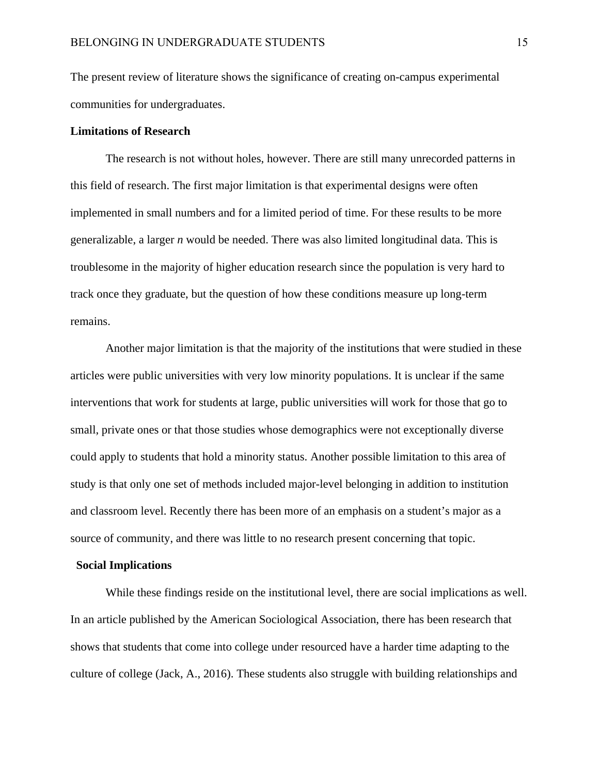The present review of literature shows the significance of creating on-campus experimental communities for undergraduates.

# **Limitations of Research**

The research is not without holes, however. There are still many unrecorded patterns in this field of research. The first major limitation is that experimental designs were often implemented in small numbers and for a limited period of time. For these results to be more generalizable, a larger *n* would be needed. There was also limited longitudinal data. This is troublesome in the majority of higher education research since the population is very hard to track once they graduate, but the question of how these conditions measure up long-term remains.

Another major limitation is that the majority of the institutions that were studied in these articles were public universities with very low minority populations. It is unclear if the same interventions that work for students at large, public universities will work for those that go to small, private ones or that those studies whose demographics were not exceptionally diverse could apply to students that hold a minority status. Another possible limitation to this area of study is that only one set of methods included major-level belonging in addition to institution and classroom level. Recently there has been more of an emphasis on a student's major as a source of community, and there was little to no research present concerning that topic.

#### **Social Implications**

While these findings reside on the institutional level, there are social implications as well. In an article published by the American Sociological Association, there has been research that shows that students that come into college under resourced have a harder time adapting to the culture of college (Jack, A., 2016). These students also struggle with building relationships and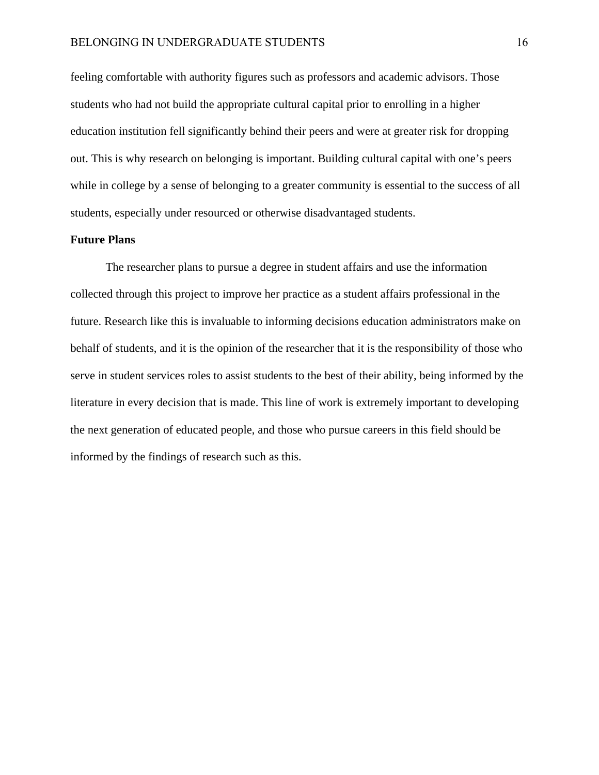feeling comfortable with authority figures such as professors and academic advisors. Those students who had not build the appropriate cultural capital prior to enrolling in a higher education institution fell significantly behind their peers and were at greater risk for dropping out. This is why research on belonging is important. Building cultural capital with one's peers while in college by a sense of belonging to a greater community is essential to the success of all students, especially under resourced or otherwise disadvantaged students.

## **Future Plans**

The researcher plans to pursue a degree in student affairs and use the information collected through this project to improve her practice as a student affairs professional in the future. Research like this is invaluable to informing decisions education administrators make on behalf of students, and it is the opinion of the researcher that it is the responsibility of those who serve in student services roles to assist students to the best of their ability, being informed by the literature in every decision that is made. This line of work is extremely important to developing the next generation of educated people, and those who pursue careers in this field should be informed by the findings of research such as this.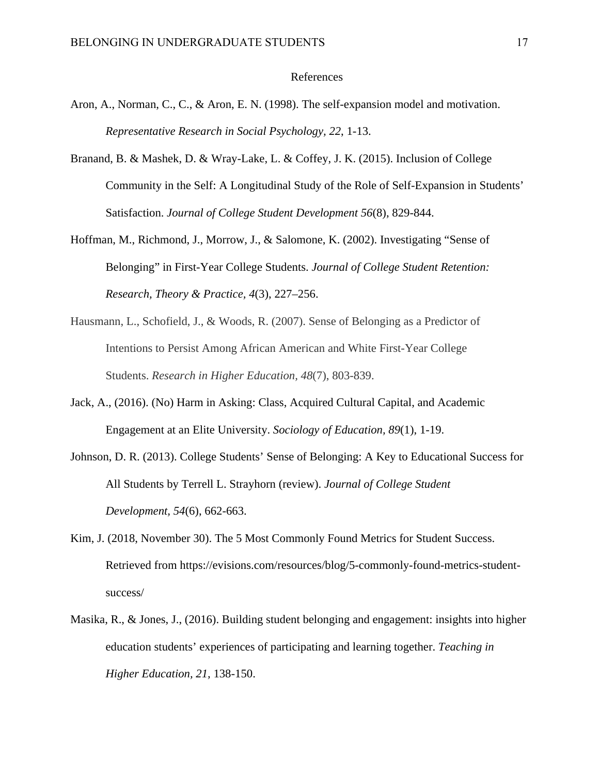#### References

- Aron, A., Norman, C., C., & Aron, E. N. (1998). The self-expansion model and motivation. *Representative Research in Social Psychology, 22*, 1-13.
- Branand, B. & Mashek, D. & Wray-Lake, L. & Coffey, J. K. (2015). Inclusion of College Community in the Self: A Longitudinal Study of the Role of Self-Expansion in Students' Satisfaction. *Journal of College Student Development 56*(8), 829-844.
- Hoffman, M., Richmond, J., Morrow, J., & Salomone, K. (2002). Investigating "Sense of Belonging" in First-Year College Students. *Journal of College Student Retention: Research, Theory & Practice, 4*(3), 227–256.
- Hausmann, L., Schofield, J., & Woods, R. (2007). Sense of Belonging as a Predictor of Intentions to Persist Among African American and White First-Year College Students. *Research in Higher Education, 48*(7), 803-839.
- Jack, A., (2016). (No) Harm in Asking: Class, Acquired Cultural Capital, and Academic Engagement at an Elite University. *Sociology of Education, 89*(1), 1-19.
- Johnson, D. R. (2013). College Students' Sense of Belonging: A Key to Educational Success for All Students by Terrell L. Strayhorn (review). *Journal of College Student Development, 54*(6), 662-663.
- Kim, J. (2018, November 30). The 5 Most Commonly Found Metrics for Student Success. Retrieved from https://evisions.com/resources/blog/5-commonly-found-metrics-studentsuccess/
- Masika, R., & Jones, J., (2016). Building student belonging and engagement: insights into higher education students' experiences of participating and learning together. *Teaching in Higher Education, 21,* 138-150.